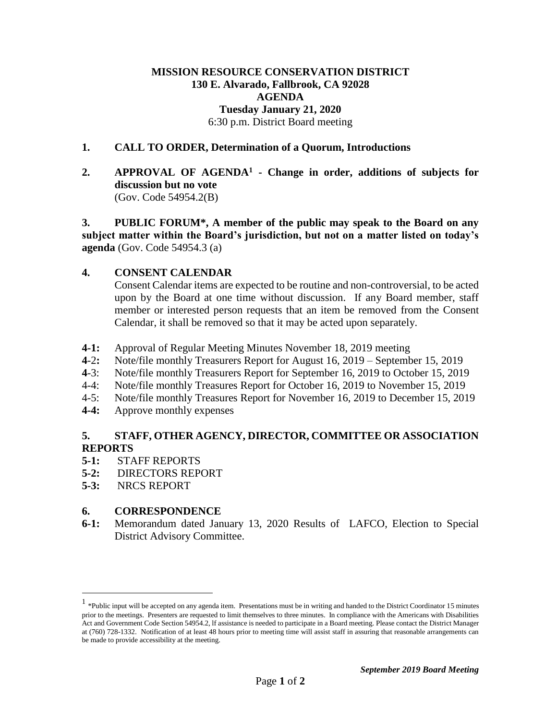## **MISSION RESOURCE CONSERVATION DISTRICT 130 E. Alvarado, Fallbrook, CA 92028 AGENDA Tuesday January 21, 2020** 6:30 p.m. District Board meeting

#### **1. CALL TO ORDER, Determination of a Quorum, Introductions**

**2. APPROVAL OF AGENDA<sup>1</sup> - Change in order, additions of subjects for discussion but no vote**  (Gov. Code 54954.2(B)

**3. PUBLIC FORUM\*, A member of the public may speak to the Board on any subject matter within the Board's jurisdiction, but not on a matter listed on today's agenda** (Gov. Code 54954.3 (a)

#### **4. CONSENT CALENDAR**

Consent Calendar items are expected to be routine and non-controversial, to be acted upon by the Board at one time without discussion. If any Board member, staff member or interested person requests that an item be removed from the Consent Calendar, it shall be removed so that it may be acted upon separately.

- **4-1:** Approval of Regular Meeting Minutes November 18, 2019 meeting
- **4**-2**:** Note/file monthly Treasurers Report for August 16, 2019 September 15, 2019
- **4**-3: Note/file monthly Treasurers Report for September 16, 2019 to October 15, 2019
- 4-4: Note/file monthly Treasures Report for October 16, 2019 to November 15, 2019
- 4-5: Note/file monthly Treasures Report for November 16, 2019 to December 15, 2019
- **4-4:** Approve monthly expenses

## **5. STAFF, OTHER AGENCY, DIRECTOR, COMMITTEE OR ASSOCIATION REPORTS**

- **5-1:** STAFF REPORTS
- **5-2:** DIRECTORS REPORT
- **5-3:** NRCS REPORT

 $\overline{a}$ 

#### **6. CORRESPONDENCE**

**6-1:** Memorandum dated January 13, 2020 Results of LAFCO, Election to Special District Advisory Committee.

 $<sup>1</sup>$  \*Public input will be accepted on any agenda item. Presentations must be in writing and handed to the District Coordinator 15 minutes</sup> prior to the meetings. Presenters are requested to limit themselves to three minutes. In compliance with the Americans with Disabilities Act and Government Code Section 54954.2, lf assistance is needed to participate in a Board meeting. Please contact the District Manager at (760) 728-1332. Notification of at least 48 hours prior to meeting time will assist staff in assuring that reasonable arrangements can be made to provide accessibility at the meeting.